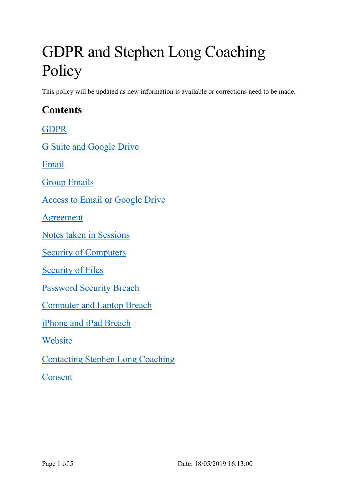# GDPR and Stephen Long Coaching Policy

This policy will be updated as new information is available or corrections need to be made.

## **Contents**

GDPR

G Suite and Google Drive

Email

Group Emails

Access to Email or Google Drive

Agreement

Notes taken in Sessions

Security of Computers

Security of Files

Password Security Breach

Computer and Laptop Breach

iPhone and iPad Breach

Website

Contacting Stephen Long Coaching

Consent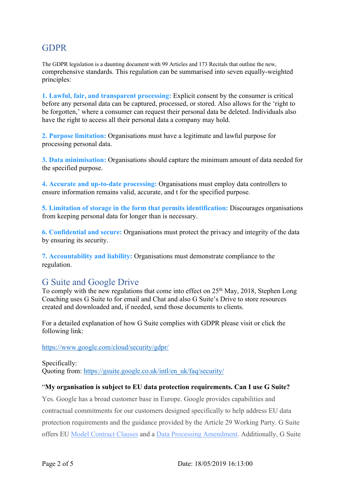## GDPR

The GDPR legislation is a daunting document with 99 Articles and 173 Recitals that outline the new, comprehensive standards. This regulation can be summarised into seven equally-weighted principles:

**1. Lawful, fair, and transparent processing:** Explicit consent by the consumer is critical before any personal data can be captured, processed, or stored. Also allows for the 'right to be forgotten,' where a consumer can request their personal data be deleted. Individuals also have the right to access all their personal data a company may hold.

**2. Purpose limitation:** Organisations must have a legitimate and lawful purpose for processing personal data.

**3. Data minimisation:** Organisations should capture the minimum amount of data needed for the specified purpose.

**4. Accurate and up-to-date processing:** Organisations must employ data controllers to ensure information remains valid, accurate, and t for the specified purpose.

**5. Limitation of storage in the form that permits identification:** Discourages organisations from keeping personal data for longer than is necessary.

**6. Confidential and secure:** Organisations must protect the privacy and integrity of the data by ensuring its security.

**7. Accountability and liability:** Organisations must demonstrate compliance to the regulation.

## G Suite and Google Drive

To comply with the new regulations that come into effect on  $25<sup>th</sup>$  May, 2018, Stephen Long Coaching uses G Suite to for email and Chat and also G Suite's Drive to store resources created and downloaded and, if needed, send those documents to clients.

For a detailed explanation of how G Suite complies with GDPR please visit or click the following link:

https://www.google.com/cloud/security/gdpr/

Specifically: Quoting from: https://gsuite.google.co.uk/intl/en\_uk/faq/security/

#### "**My organisation is subject to EU data protection requirements. Can I use G Suite?**

Yes. Google has a broad customer base in Europe. Google provides capabilities and contractual commitments for our customers designed specifically to help address EU data protection requirements and the guidance provided by the Article 29 Working Party. G Suite offers EU Model Contract Clauses and a Data Processing Amendment. Additionally, G Suite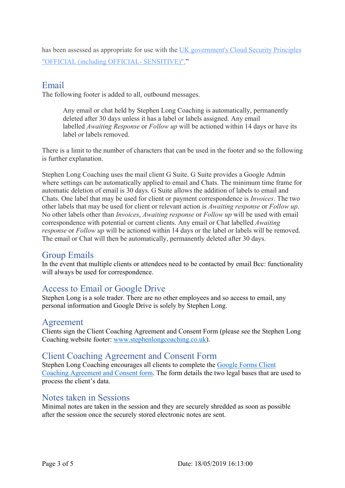has been assessed as appropriate for use with the UK government's Cloud Security Principles "OFFICIAL (including OFFICIAL- SENSITIVE)"."

#### Email

The following footer is added to all, outbound messages.

Any email or chat held by Stephen Long Coaching is automatically, permanently deleted after 30 days unless it has a label or labels assigned. Any email labelled *Awaiting Response* or *Follow up* will be actioned within 14 days or have its label or labels removed.

There is a limit to the number of characters that can be used in the footer and so the following is further explanation.

Stephen Long Coaching uses the mail client G Suite. G Suite provides a Google Admin where settings can be automatically applied to email and Chats. The minimum time frame for automatic deletion of email is 30 days. G Suite allows the addition of labels to email and Chats. One label that may be used for client or payment correspondence is *Invoices*. The two other labels that may be used for client or relevant action is *Awaiting response* or *Follow up*. No other labels other than *Invoices*, *Awaiting response* or *Follow up* will be used with email correspondence with potential or current clients. Any email or Chat labelled *Awaiting response* or *Follow up* will be actioned within 14 days or the label or labels will be removed. The email or Chat will then be automatically, permanently deleted after 30 days.

#### Group Emails

In the event that multiple clients or attendees need to be contacted by email Bcc: functionality will always be used for correspondence.

## Access to Email or Google Drive

Stephen Long is a sole trader. There are no other employees and so access to email, any personal information and Google Drive is solely by Stephen Long.

#### Agreement

Clients sign the Client Coaching Agreement and Consent Form (please see the Stephen Long Coaching website footer: www.stephenlongcoaching.co.uk).

#### Client Coaching Agreement and Consent Form

Stephen Long Coaching encourages all clients to complete the Google Forms Client Coaching Agreement and Consent form. The form details the two legal bases that are used to process the client's data.

#### Notes taken in Sessions

Minimal notes are taken in the session and they are securely shredded as soon as possible after the session once the securely stored electronic notes are sent.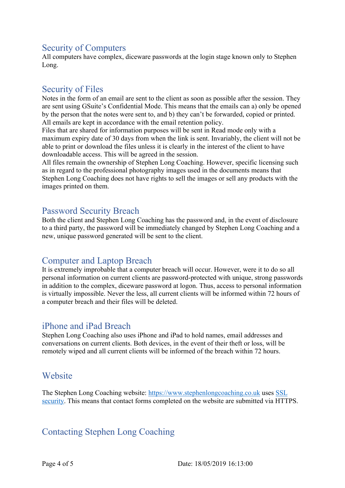## Security of Computers

All computers have complex, diceware passwords at the login stage known only to Stephen Long.

## Security of Files

Notes in the form of an email are sent to the client as soon as possible after the session. They are sent using GSuite's Confidential Mode. This means that the emails can a) only be opened by the person that the notes were sent to, and b) they can't be forwarded, copied or printed. All emails are kept in accordance with the email retention policy.

Files that are shared for information purposes will be sent in Read mode only with a maximum expiry date of 30 days from when the link is sent. Invariably, the client will not be able to print or download the files unless it is clearly in the interest of the client to have downloadable access. This will be agreed in the session.

All files remain the ownership of Stephen Long Coaching. However, specific licensing such as in regard to the professional photography images used in the documents means that Stephen Long Coaching does not have rights to sell the images or sell any products with the images printed on them.

## Password Security Breach

Both the client and Stephen Long Coaching has the password and, in the event of disclosure to a third party, the password will be immediately changed by Stephen Long Coaching and a new, unique password generated will be sent to the client.

## Computer and Laptop Breach

It is extremely improbable that a computer breach will occur. However, were it to do so all personal information on current clients are password-protected with unique, strong passwords in addition to the complex, diceware password at logon. Thus, access to personal information is virtually impossible. Never the less, all current clients will be informed within 72 hours of a computer breach and their files will be deleted.

## iPhone and iPad Breach

Stephen Long Coaching also uses iPhone and iPad to hold names, email addresses and conversations on current clients. Both devices, in the event of their theft or loss, will be remotely wiped and all current clients will be informed of the breach within 72 hours.

## Website

The Stephen Long Coaching website: https://www.stephenlongcoaching.co.uk uses SSL security. This means that contact forms completed on the website are submitted via HTTPS.

## Contacting Stephen Long Coaching